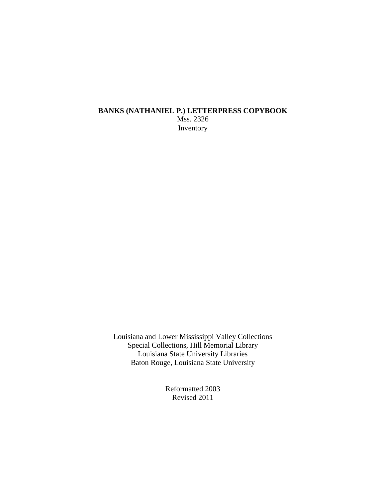#### **BANKS (NATHANIEL P.) LETTERPRESS COPYBOOK** Mss. 2326 Inventory

Louisiana and Lower Mississippi Valley Collections Special Collections, Hill Memorial Library Louisiana State University Libraries Baton Rouge, Louisiana State University

> Reformatted 2003 Revised 2011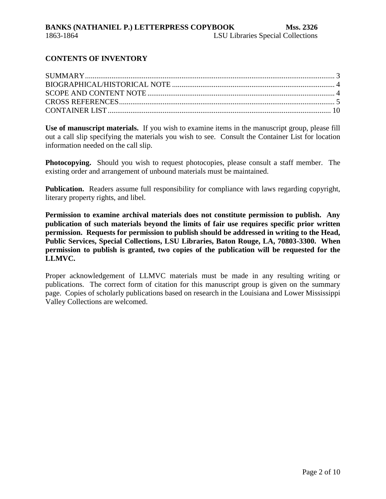## **CONTENTS OF INVENTORY**

**Use of manuscript materials.** If you wish to examine items in the manuscript group, please fill out a call slip specifying the materials you wish to see. Consult the Container List for location information needed on the call slip.

**Photocopying.** Should you wish to request photocopies, please consult a staff member. The existing order and arrangement of unbound materials must be maintained.

**Publication.** Readers assume full responsibility for compliance with laws regarding copyright, literary property rights, and libel.

**Permission to examine archival materials does not constitute permission to publish. Any publication of such materials beyond the limits of fair use requires specific prior written permission. Requests for permission to publish should be addressed in writing to the Head, Public Services, Special Collections, LSU Libraries, Baton Rouge, LA, 70803-3300. When permission to publish is granted, two copies of the publication will be requested for the LLMVC.**

Proper acknowledgement of LLMVC materials must be made in any resulting writing or publications. The correct form of citation for this manuscript group is given on the summary page. Copies of scholarly publications based on research in the Louisiana and Lower Mississippi Valley Collections are welcomed.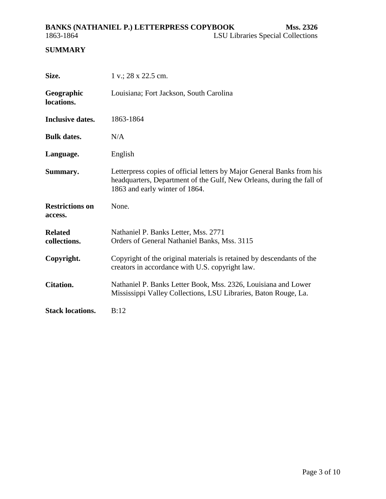#### <span id="page-2-0"></span>**BANKS (NATHANIEL P.) LETTERPRESS COPYBOOK Mss. 2326** 1863-1864 LSU Libraries Special Collections

## **SUMMARY**

| Size.                             | $1 v$ .; 28 x 22.5 cm.                                                                                                                                                            |
|-----------------------------------|-----------------------------------------------------------------------------------------------------------------------------------------------------------------------------------|
| Geographic<br>locations.          | Louisiana; Fort Jackson, South Carolina                                                                                                                                           |
| Inclusive dates.                  | 1863-1864                                                                                                                                                                         |
| <b>Bulk dates.</b>                | N/A                                                                                                                                                                               |
| Language.                         | English                                                                                                                                                                           |
| Summary.                          | Letterpress copies of official letters by Major General Banks from his<br>headquarters, Department of the Gulf, New Orleans, during the fall of<br>1863 and early winter of 1864. |
| <b>Restrictions on</b><br>access. | None.                                                                                                                                                                             |
| <b>Related</b><br>collections.    | Nathaniel P. Banks Letter, Mss. 2771<br>Orders of General Nathaniel Banks, Mss. 3115                                                                                              |
| Copyright.                        | Copyright of the original materials is retained by descendants of the<br>creators in accordance with U.S. copyright law.                                                          |
| <b>Citation.</b>                  | Nathaniel P. Banks Letter Book, Mss. 2326, Louisiana and Lower                                                                                                                    |
|                                   | Mississippi Valley Collections, LSU Libraries, Baton Rouge, La.                                                                                                                   |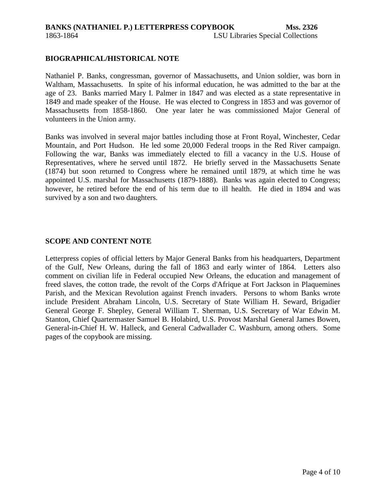#### <span id="page-3-0"></span>**BIOGRAPHICAL/HISTORICAL NOTE**

Nathaniel P. Banks, congressman, governor of Massachusetts, and Union soldier, was born in Waltham, Massachusetts. In spite of his informal education, he was admitted to the bar at the age of 23. Banks married Mary I. Palmer in 1847 and was elected as a state representative in 1849 and made speaker of the House. He was elected to Congress in 1853 and was governor of Massachusetts from 1858-1860. One year later he was commissioned Major General of volunteers in the Union army.

Banks was involved in several major battles including those at Front Royal, Winchester, Cedar Mountain, and Port Hudson. He led some 20,000 Federal troops in the Red River campaign. Following the war, Banks was immediately elected to fill a vacancy in the U.S. House of Representatives, where he served until 1872. He briefly served in the Massachusetts Senate (1874) but soon returned to Congress where he remained until 1879, at which time he was appointed U.S. marshal for Massachusetts (1879-1888). Banks was again elected to Congress; however, he retired before the end of his term due to ill health. He died in 1894 and was survived by a son and two daughters.

#### **SCOPE AND CONTENT NOTE**

Letterpress copies of official letters by Major General Banks from his headquarters, Department of the Gulf, New Orleans, during the fall of 1863 and early winter of 1864. Letters also comment on civilian life in Federal occupied New Orleans, the education and management of freed slaves, the cotton trade, the revolt of the Corps d'Afrique at Fort Jackson in Plaquemines Parish, and the Mexican Revolution against French invaders. Persons to whom Banks wrote include President Abraham Lincoln, U.S. Secretary of State William H. Seward, Brigadier General George F. Shepley, General William T. Sherman, U.S. Secretary of War Edwin M. Stanton, Chief Quartermaster Samuel B. Holabird, U.S. Provost Marshal General James Bowen, General-in-Chief H. W. Halleck, and General Cadwallader C. Washburn, among others. Some pages of the copybook are missing.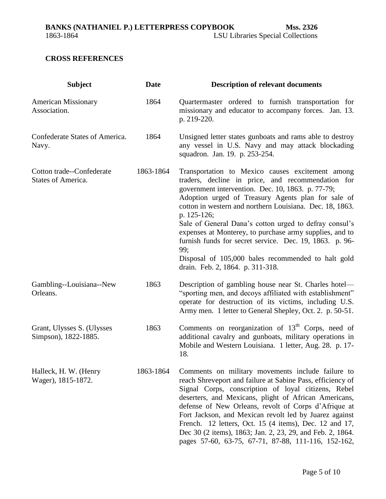## <span id="page-4-0"></span>**CROSS REFERENCES**

| <b>Subject</b>                                     | <b>Date</b> | <b>Description of relevant documents</b>                                                                                                                                                                                                                                                                                                                                                                                                                                                                                                                                     |
|----------------------------------------------------|-------------|------------------------------------------------------------------------------------------------------------------------------------------------------------------------------------------------------------------------------------------------------------------------------------------------------------------------------------------------------------------------------------------------------------------------------------------------------------------------------------------------------------------------------------------------------------------------------|
| <b>American Missionary</b><br>Association.         | 1864        | Quartermaster ordered to furnish transportation for<br>missionary and educator to accompany forces. Jan. 13.<br>p. 219-220.                                                                                                                                                                                                                                                                                                                                                                                                                                                  |
| Confederate States of America.<br>Navy.            | 1864        | Unsigned letter states gunboats and rams able to destroy<br>any vessel in U.S. Navy and may attack blockading<br>squadron. Jan. 19. p. 253-254.                                                                                                                                                                                                                                                                                                                                                                                                                              |
| Cotton trade--Confederate<br>States of America.    | 1863-1864   | Transportation to Mexico causes excitement among<br>traders, decline in price, and recommendation for<br>government intervention. Dec. 10, 1863. p. 77-79;<br>Adoption urged of Treasury Agents plan for sale of<br>cotton in western and northern Louisiana. Dec. 18, 1863.<br>p. 125-126;<br>Sale of General Dana's cotton urged to defray consul's<br>expenses at Monterey, to purchase army supplies, and to<br>furnish funds for secret service. Dec. 19, 1863. p. 96-<br>99;<br>Disposal of 105,000 bales recommended to halt gold<br>drain. Feb. 2, 1864. p. 311-318. |
| Gambling--Louisiana--New<br>Orleans.               | 1863        | Description of gambling house near St. Charles hotel—<br>"sporting men, and decoys affiliated with establishment"<br>operate for destruction of its victims, including U.S.<br>Army men. 1 letter to General Shepley, Oct. 2. p. 50-51.                                                                                                                                                                                                                                                                                                                                      |
| Grant, Ulysses S. (Ulysses<br>Simpson), 1822-1885. | 1863        | Comments on reorganization of 13 <sup>th</sup> Corps, need of<br>additional cavalry and gunboats, military operations in<br>Mobile and Western Louisiana. 1 letter, Aug. 28. p. 17-<br>18.                                                                                                                                                                                                                                                                                                                                                                                   |
| Halleck, H. W. (Henry<br>Wager), 1815-1872.        | 1863-1864   | Comments on military movements include failure to<br>reach Shreveport and failure at Sabine Pass, efficiency of<br>Signal Corps, conscription of loyal citizens, Rebel<br>deserters, and Mexicans, plight of African Americans,<br>defense of New Orleans, revolt of Corps d'Afrique at<br>Fort Jackson, and Mexican revolt led by Juarez against<br>French. 12 letters, Oct. 15 (4 items), Dec. 12 and 17,<br>Dec 30 (2 items), 1863; Jan. 2, 23, 29, and Feb. 2, 1864.<br>pages 57-60, 63-75, 67-71, 87-88, 111-116, 152-162,                                              |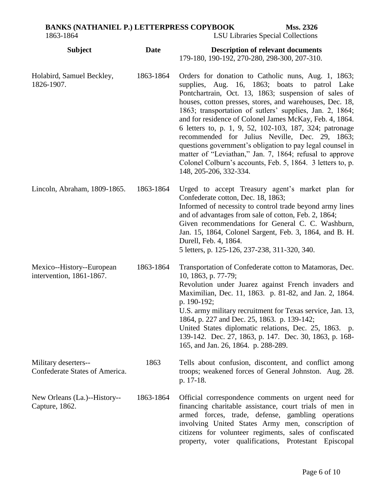| <b>BANKS (NATHANIEL P.) LETTERPRESS COPYBOOK</b> |                                   | Mss. 2326 |
|--------------------------------------------------|-----------------------------------|-----------|
| 1863-1864                                        | LSU Libraries Special Collections |           |

| <b>Subject</b>                                         | <b>Date</b> | <b>Description of relevant documents</b><br>179-180, 190-192, 270-280, 298-300, 207-310.                                                                                                                                                                                                                                                                                                                                                                                                                                                                                                                                                                                     |
|--------------------------------------------------------|-------------|------------------------------------------------------------------------------------------------------------------------------------------------------------------------------------------------------------------------------------------------------------------------------------------------------------------------------------------------------------------------------------------------------------------------------------------------------------------------------------------------------------------------------------------------------------------------------------------------------------------------------------------------------------------------------|
| Holabird, Samuel Beckley,<br>1826-1907.                | 1863-1864   | Orders for donation to Catholic nuns, Aug. 1, 1863;<br>supplies, Aug. 16, 1863; boats to patrol Lake<br>Pontchartrain, Oct. 13, 1863; suspension of sales of<br>houses, cotton presses, stores, and warehouses, Dec. 18,<br>1863; transportation of sutlers' supplies, Jan. 2, 1864;<br>and for residence of Colonel James McKay, Feb. 4, 1864.<br>6 letters to, p. 1, 9, 52, 102-103, 187, 324; patronage<br>recommended for Julius Neville, Dec. 29, 1863;<br>questions government's obligation to pay legal counsel in<br>matter of "Leviathan," Jan. 7, 1864; refusal to approve<br>Colonel Colburn's accounts, Feb. 5, 1864. 3 letters to, p.<br>148, 205-206, 332-334. |
| Lincoln, Abraham, 1809-1865.                           | 1863-1864   | Urged to accept Treasury agent's market plan for<br>Confederate cotton, Dec. 18, 1863;<br>Informed of necessity to control trade beyond army lines<br>and of advantages from sale of cotton, Feb. 2, 1864;<br>Given recommendations for General C. C. Washburn,<br>Jan. 15, 1864, Colonel Sargent, Feb. 3, 1864, and B. H.<br>Durell, Feb. 4, 1864.<br>5 letters, p. 125-126, 237-238, 311-320, 340.                                                                                                                                                                                                                                                                         |
| Mexico--History--European<br>intervention, 1861-1867.  | 1863-1864   | Transportation of Confederate cotton to Matamoras, Dec.<br>10, 1863, p. 77-79;<br>Revolution under Juarez against French invaders and<br>Maximilian, Dec. 11, 1863. p. 81-82, and Jan. 2, 1864.<br>p. 190-192;<br>U.S. army military recruitment for Texas service, Jan. 13,<br>1864, p. 227 and Dec. 25, 1863. p. 139-142;<br>United States diplomatic relations, Dec. 25, 1863. p.<br>139-142. Dec. 27, 1863, p. 147. Dec. 30, 1863, p. 168-<br>165, and Jan. 26, 1864. p. 288-289.                                                                                                                                                                                        |
| Military deserters--<br>Confederate States of America. | 1863        | Tells about confusion, discontent, and conflict among<br>troops; weakened forces of General Johnston. Aug. 28.<br>p. 17-18.                                                                                                                                                                                                                                                                                                                                                                                                                                                                                                                                                  |
| New Orleans (La.)--History--<br>Capture, 1862.         | 1863-1864   | Official correspondence comments on urgent need for<br>financing charitable assistance, court trials of men in<br>armed forces, trade, defense, gambling operations<br>involving United States Army men, conscription of<br>citizens for volunteer regiments, sales of confiscated<br>property, voter qualifications, Protestant Episcopal                                                                                                                                                                                                                                                                                                                                   |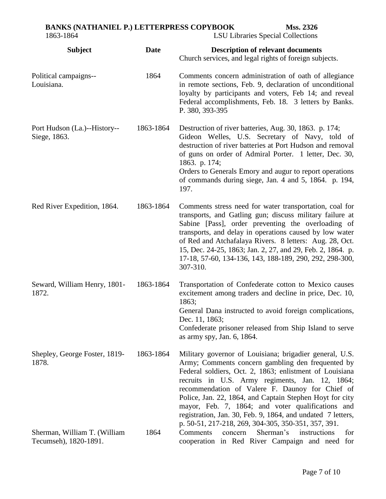| <b>BANKS (NATHANIEL P.) LETTERPRESS COPYBOOK</b> |      |                                                        | Mss. 2326                                                                                                         |
|--------------------------------------------------|------|--------------------------------------------------------|-------------------------------------------------------------------------------------------------------------------|
| 1863-1864                                        |      | <b>LSU Libraries Special Collections</b>               |                                                                                                                   |
| <b>Subject</b>                                   | Date | Church services, and legal rights of foreign subjects. | <b>Description of relevant documents</b>                                                                          |
| Political campaigns--<br>Louisiana.              | 1864 |                                                        | Comments concern administration of oath of allegiance<br>in remote sections, Feb. 9, declaration of unconditional |

P. 380, 393-395 [Port Hudson \(La.\)--History--](https://lsu.louislibraries.org:5203/uhtbin/cgisirsi/?ps=awbI5Jb5o1/MIDL-MAIN/14620068/18/X651/XSUBJECT/Port+Hudson+%28La.%29+History+Siege,+1863+Personal+narratives.) [Siege, 1863.](https://lsu.louislibraries.org:5203/uhtbin/cgisirsi/?ps=awbI5Jb5o1/MIDL-MAIN/14620068/18/X651/XSUBJECT/Port+Hudson+%28La.%29+History+Siege,+1863+Personal+narratives.) 1863-1864 Destruction of river batteries, Aug. 30, 1863. p. 174; Gideon Welles, U.S. Secretary of Navy, told of destruction of river batteries at Port Hudson and removal of guns on order of Admiral Porter. 1 letter, Dec. 30, 1863. p. 174; Orders to Generals Emory and augur to report operations of commands during siege, Jan. 4 and 5, 1864. p. 194, 197.

loyalty by participants and voters, Feb 14; and reveal Federal accomplishments, Feb. 18. 3 letters by Banks.

[Red River Expedition, 1864.](https://lsu.louislibraries.org:5203/uhtbin/cgisirsi/?ps=uyQykjsir8/MIDL-MAIN/116120058/18/X650/XSUBJECT/Red+River+Expedition,+1864.) 1863-1864 Comments stress need for water transportation, coal for transports, and Gatling gun; discuss military failure at Sabine [Pass], order preventing the overloading of transports, and delay in operations caused by low water of Red and Atchafalaya Rivers. 8 letters: Aug. 28, Oct. 15, Dec. 24-25, 1863; Jan. 2, 27, and 29, Feb. 2, 1864. p. 17-18, 57-60, 134-136, 143, 188-189, 290, 292, 298-300, 307-310.

Seward, William Henry, 1801- 1872. 1863-1864 Transportation of Confederate cotton to Mexico causes excitement among traders and decline in price, Dec. 10, 1863; General Dana instructed to avoid foreign complications, Dec. 11, 1863; Confederate prisoner released from Ship Island to serve

as army spy, Jan. 6, 1864.

Shepley, George Foster, 1819- 1878. 1863-1864 Military governor of Louisiana; brigadier general, U.S. Army; Comments concern gambling den frequented by Federal soldiers, Oct. 2, 1863; enlistment of Louisiana recruits in U.S. Army regiments, Jan. 12, 1864; recommendation of Valere F. Daunoy for Chief of Police, Jan. 22, 1864, and Captain Stephen Hoyt for city mayor, Feb. 7, 1864; and voter qualifications and registration, Jan. 30, Feb. 9, 1864, and undated 7 letters, p. 50-51, 217-218, 269, 304-305, 350-351, 357, 391. Sherman, William T. (William Tecumseh), 1820-1891. 1864 Comments concern Sherman's instructions for cooperation in Red River Campaign and need for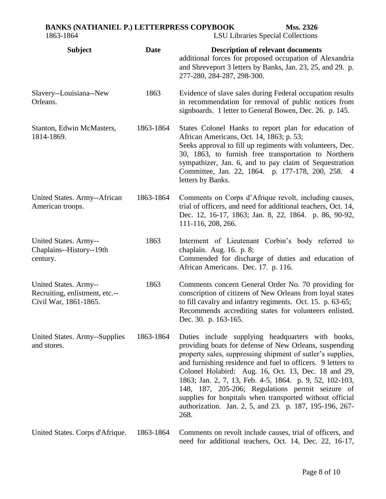# **BANKS (NATHANIEL P.) LETTERPRESS COPYBOOK Mss. 2326** 1863-1864 LSU Libraries Special Collections

| <b>Subject</b>                                                                   | <b>Date</b> | <b>Description of relevant documents</b><br>additional forces for proposed occupation of Alexandria<br>and Shreveport 3 letters by Banks, Jan. 23, 25, and 29. p.<br>277-280, 284-287, 298-300.                                                                                                                                                                                                                                                                                                                                               |
|----------------------------------------------------------------------------------|-------------|-----------------------------------------------------------------------------------------------------------------------------------------------------------------------------------------------------------------------------------------------------------------------------------------------------------------------------------------------------------------------------------------------------------------------------------------------------------------------------------------------------------------------------------------------|
| Slavery--Louisiana--New<br>Orleans.                                              | 1863        | Evidence of slave sales during Federal occupation results<br>in recommendation for removal of public notices from<br>signboards. 1 letter to General Bowen, Dec. 26. p. 145.                                                                                                                                                                                                                                                                                                                                                                  |
| Stanton, Edwin McMasters,<br>1814-1869.                                          | 1863-1864   | States Colonel Hanks to report plan for education of<br>African Americans, Oct. 14, 1863; p. 53;<br>Seeks approval to fill up regiments with volunteers, Dec.<br>30, 1863, to furnish free transportation to Northern<br>sympathizer, Jan. 6, and to pay claim of Sequestration<br>Committee, Jan. 22, 1864. p. 177-178, 200, 258. 4<br>letters by Banks.                                                                                                                                                                                     |
| United States. Army--African<br>American troops.                                 | 1863-1864   | Comments on Corps d'Afrique revolt, including causes,<br>trial of officers, and need for additional teachers, Oct. 14,<br>Dec. 12, 16-17, 1863; Jan. 8, 22, 1864. p. 86, 90-92,<br>111-116, 208, 266.                                                                                                                                                                                                                                                                                                                                         |
| United States. Army--<br>Chaplains--History--19th<br>century.                    | 1863        | Interment of Lieutenant Corbin's body referred to<br>chaplain. Aug. 16. p. 8;<br>Commended for discharge of duties and education of<br>African Americans. Dec. 17. p. 116.                                                                                                                                                                                                                                                                                                                                                                    |
| United States. Army--<br>Recruiting, enlistment, etc.--<br>Civil War, 1861-1865. | 1863        | Comments concern General Order No. 70 providing for<br>conscription of citizens of New Orleans from loyal states<br>to fill cavalry and infantry regiments. Oct. 15. p. 63-65;<br>Recommends accrediting states for volunteers enlisted.<br>Dec. 30. p. 163-165.                                                                                                                                                                                                                                                                              |
| United States. Army--Supplies<br>and stores.                                     | 1863-1864   | Duties include supplying headquarters with books,<br>providing boats for defense of New Orleans, suspending<br>property sales, suppressing shipment of sutler's supplies,<br>and furnishing residence and fuel to officers. 9 letters to<br>Colonel Holabird: Aug. 16, Oct. 13, Dec. 18 and 29,<br>1863; Jan. 2, 7, 13, Feb. 4-5, 1864. p. 9, 52, 102-103,<br>148, 187, 205-206; Regulations permit seizure of<br>supplies for hospitals when transported without official<br>authorization. Jan. 2, 5, and 23. p. 187, 195-196, 267-<br>268. |
| United States. Corps d'Afrique.                                                  | 1863-1864   | Comments on revolt include causes, trial of officers, and<br>need for additional teachers, Oct. 14, Dec. 22, 16-17,                                                                                                                                                                                                                                                                                                                                                                                                                           |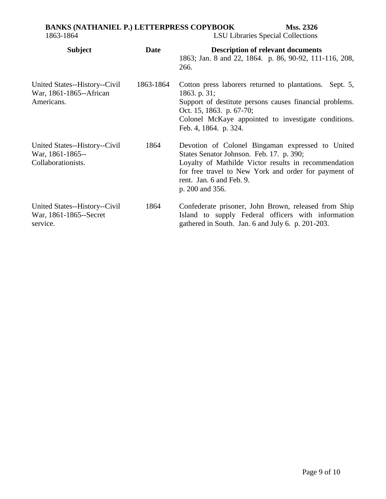# **BANKS (NATHANIEL P.) LETTERPRESS COPYBOOK Mss. 2326**

1863-1864 LSU Libraries Special Collections

| <b>Subject</b>                                                          | <b>Date</b> | <b>Description of relevant documents</b>                                                                                                                                                                                                                    |
|-------------------------------------------------------------------------|-------------|-------------------------------------------------------------------------------------------------------------------------------------------------------------------------------------------------------------------------------------------------------------|
|                                                                         |             | 1863; Jan. 8 and 22, 1864. p. 86, 90-92, 111-116, 208,<br>266.                                                                                                                                                                                              |
| United States--History--Civil<br>War, 1861-1865--African<br>Americans.  | 1863-1864   | Cotton press laborers returned to plantations.<br>Sept. $5,$<br>1863. p. $31;$<br>Support of destitute persons causes financial problems.<br>Oct. 15, 1863. p. 67-70;<br>Colonel McKaye appointed to investigate conditions.<br>Feb. 4, 1864. p. 324.       |
| United States--History--Civil<br>War, 1861-1865--<br>Collaborationists. | 1864        | Devotion of Colonel Bingaman expressed to United<br>States Senator Johnson. Feb. 17. p. 390;<br>Loyalty of Mathilde Victor results in recommendation<br>for free travel to New York and order for payment of<br>rent. Jan. 6 and Feb. 9.<br>p. 200 and 356. |
| United States--History--Civil<br>War, 1861-1865--Secret<br>service.     | 1864        | Confederate prisoner, John Brown, released from Ship<br>Island to supply Federal officers with information<br>gathered in South. Jan. 6 and July 6. p. 201-203.                                                                                             |